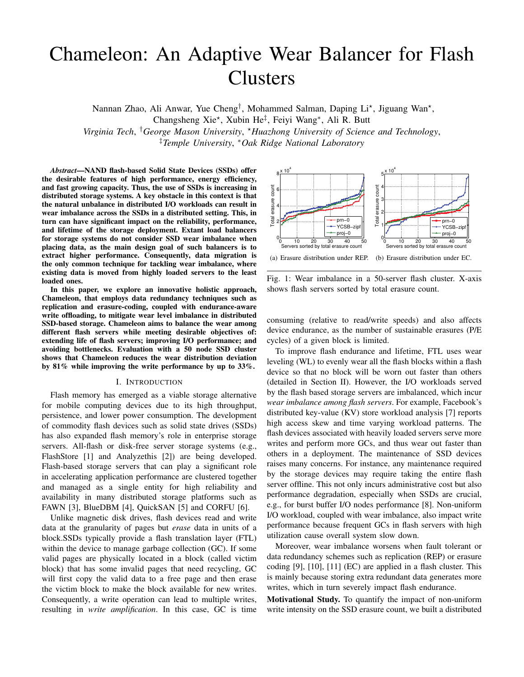# Chameleon: An Adaptive Wear Balancer for Flash **Clusters**

Nannan Zhao, Ali Anwar, Yue Cheng<sup>†</sup>, Mohammed Salman, Daping Li\*, Jiguang Wan\*, Changsheng Xie? , Xubin He‡ , Feiyi Wang<sup>∗</sup> , Ali R. Butt *Virginia Tech*, †*George Mason University*, ?*Huazhong University of Science and Technology*, ‡*Temple University*, <sup>∗</sup>*Oak Ridge National Laboratory*

*Abstract*—NAND flash-based Solid State Devices (SSDs) offer the desirable features of high performance, energy efficiency, and fast growing capacity. Thus, the use of SSDs is increasing in distributed storage systems. A key obstacle in this context is that the natural unbalance in distributed I/O workloads can result in wear imbalance across the SSDs in a distributed setting. This, in turn can have significant impact on the reliability, performance, and lifetime of the storage deployment. Extant load balancers for storage systems do not consider SSD wear imbalance when placing data, as the main design goal of such balancers is to extract higher performance. Consequently, data migration is the only common technique for tackling wear imbalance, where existing data is moved from highly loaded servers to the least loaded ones.

In this paper, we explore an innovative holistic approach, Chameleon, that employs data redundancy techniques such as replication and erasure-coding, coupled with endurance-aware write offloading, to mitigate wear level imbalance in distributed SSD-based storage. Chameleon aims to balance the wear among different flash servers while meeting desirable objectives of: extending life of flash servers; improving I/O performance; and avoiding bottlenecks. Evaluation with a 50 node SSD cluster shows that Chameleon reduces the wear distribution deviation by 81% while improving the write performance by up to 33%.

#### I. INTRODUCTION

Flash memory has emerged as a viable storage alternative for mobile computing devices due to its high throughput, persistence, and lower power consumption. The development of commodity flash devices such as solid state drives (SSDs) has also expanded flash memory's role in enterprise storage servers. All-flash or disk-free server storage systems (e.g., FlashStore [1] and Analyzethis [2]) are being developed. Flash-based storage servers that can play a significant role in accelerating application performance are clustered together and managed as a single entity for high reliability and availability in many distributed storage platforms such as FAWN [3], BlueDBM [4], QuickSAN [5] and CORFU [6].

Unlike magnetic disk drives, flash devices read and write data at the granularity of pages but *erase* data in units of a block.SSDs typically provide a flash translation layer (FTL) within the device to manage garbage collection (GC). If some valid pages are physically located in a block (called victim block) that has some invalid pages that need recycling, GC will first copy the valid data to a free page and then erase the victim block to make the block available for new writes. Consequently, a write operation can lead to multiple writes, resulting in *write amplification*. In this case, GC is time



Fig. 1: Wear imbalance in a 50-server flash cluster. X-axis shows flash servers sorted by total erasure count.

consuming (relative to read/write speeds) and also affects device endurance, as the number of sustainable erasures (P/E cycles) of a given block is limited.

To improve flash endurance and lifetime, FTL uses wear leveling (WL) to evenly wear all the flash blocks within a flash device so that no block will be worn out faster than others (detailed in Section II). However, the I/O workloads served by the flash based storage servers are imbalanced, which incur *wear imbalance among flash servers*. For example, Facebook's distributed key-value (KV) store workload analysis [7] reports high access skew and time varying workload patterns. The flash devices associated with heavily loaded servers serve more writes and perform more GCs, and thus wear out faster than others in a deployment. The maintenance of SSD devices raises many concerns. For instance, any maintenance required by the storage devices may require taking the entire flash server offline. This not only incurs administrative cost but also performance degradation, especially when SSDs are crucial, e.g., for burst buffer I/O nodes performance [8]. Non-uniform I/O workload, coupled with wear imbalance, also impact write performance because frequent GCs in flash servers with high utilization cause overall system slow down.

Moreover, wear imbalance worsens when fault tolerant or data redundancy schemes such as replication (REP) or erasure coding [9], [10], [11] (EC) are applied in a flash cluster. This is mainly because storing extra redundant data generates more writes, which in turn severely impact flash endurance.

Motivational Study. To quantify the impact of non-uniform write intensity on the SSD erasure count, we built a distributed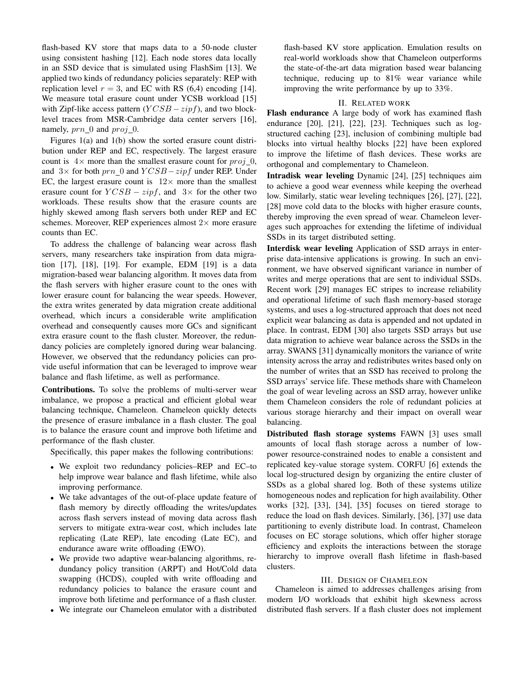flash-based KV store that maps data to a 50-node cluster using consistent hashing [12]. Each node stores data locally in an SSD device that is simulated using FlashSim [13]. We applied two kinds of redundancy policies separately: REP with replication level  $r = 3$ , and EC with RS (6,4) encoding [14]. We measure total erasure count under YCSB workload [15] with Zipf-like access pattern  $(YCSB - zipf)$ , and two blocklevel traces from MSR-Cambridge data center servers [16], namely,  $prn_0$  and  $proj_0$ .

Figures 1(a) and 1(b) show the sorted erasure count distribution under REP and EC, respectively. The largest erasure count is  $4 \times$  more than the smallest erasure count for  $proj_0$ , and  $3\times$  for both prn\_0 and  $YCSB-zipf$  under REP. Under EC, the largest erasure count is  $12\times$  more than the smallest erasure count for  $YCSB - zipf$ , and  $3 \times$  for the other two workloads. These results show that the erasure counts are highly skewed among flash servers both under REP and EC schemes. Moreover, REP experiences almost  $2\times$  more erasure counts than EC.

To address the challenge of balancing wear across flash servers, many researchers take inspiration from data migration [17], [18], [19]. For example, EDM [19] is a data migration-based wear balancing algorithm. It moves data from the flash servers with higher erasure count to the ones with lower erasure count for balancing the wear speeds. However, the extra writes generated by data migration create additional overhead, which incurs a considerable write amplification overhead and consequently causes more GCs and significant extra erasure count to the flash cluster. Moreover, the redundancy policies are completely ignored during wear balancing. However, we observed that the redundancy policies can provide useful information that can be leveraged to improve wear balance and flash lifetime, as well as performance.

Contributions. To solve the problems of multi-server wear imbalance, we propose a practical and efficient global wear balancing technique, Chameleon. Chameleon quickly detects the presence of erasure imbalance in a flash cluster. The goal is to balance the erasure count and improve both lifetime and performance of the flash cluster.

Specifically, this paper makes the following contributions:

- We exploit two redundancy policies–REP and EC–to help improve wear balance and flash lifetime, while also improving performance.
- We take advantages of the out-of-place update feature of flash memory by directly offloading the writes/updates across flash servers instead of moving data across flash servers to mitigate extra-wear cost, which includes late replicating (Late REP), late encoding (Late EC), and endurance aware write offloading (EWO).
- We provide two adaptive wear-balancing algorithms, redundancy policy transition (ARPT) and Hot/Cold data swapping (HCDS), coupled with write offloading and redundancy policies to balance the erasure count and improve both lifetime and performance of a flash cluster.
- We integrate our Chameleon emulator with a distributed

flash-based KV store application. Emulation results on real-world workloads show that Chameleon outperforms the state-of-the-art data migration based wear balancing technique, reducing up to 81% wear variance while improving the write performance by up to 33%.

# II. RELATED WORK

Flash endurance A large body of work has examined flash endurance [20], [21], [22], [23]. Techniques such as logstructured caching [23], inclusion of combining multiple bad blocks into virtual healthy blocks [22] have been explored to improve the lifetime of flash devices. These works are orthogonal and complementary to Chameleon.

Intradisk wear leveling Dynamic [24], [25] techniques aim to achieve a good wear evenness while keeping the overhead low. Similarly, static wear leveling techniques [26], [27], [22], [28] move cold data to the blocks with higher erasure counts, thereby improving the even spread of wear. Chameleon leverages such approaches for extending the lifetime of individual SSDs in its target distributed setting.

Interdisk wear leveling Application of SSD arrays in enterprise data-intensive applications is growing. In such an environment, we have observed significant variance in number of writes and merge operations that are sent to individual SSDs. Recent work [29] manages EC stripes to increase reliability and operational lifetime of such flash memory-based storage systems, and uses a log-structured approach that does not need explicit wear balancing as data is appended and not updated in place. In contrast, EDM [30] also targets SSD arrays but use data migration to achieve wear balance across the SSDs in the array. SWANS [31] dynamically monitors the variance of write intensity across the array and redistributes writes based only on the number of writes that an SSD has received to prolong the SSD arrays' service life. These methods share with Chameleon the goal of wear leveling across an SSD array, however unlike them Chameleon considers the role of redundant policies at various storage hierarchy and their impact on overall wear balancing.

Distributed flash storage systems FAWN [3] uses small amounts of local flash storage across a number of lowpower resource-constrained nodes to enable a consistent and replicated key-value storage system. CORFU [6] extends the local log-structured design by organizing the entire cluster of SSDs as a global shared log. Both of these systems utilize homogeneous nodes and replication for high availability. Other works [32], [33], [34], [35] focuses on tiered storage to reduce the load on flash devices. Similarly, [36], [37] use data partitioning to evenly distribute load. In contrast, Chameleon focuses on EC storage solutions, which offer higher storage efficiency and exploits the interactions between the storage hierarchy to improve overall flash lifetime in flash-based clusters.

## III. DESIGN OF CHAMELEON

Chameleon is aimed to addresses challenges arising from modern I/O workloads that exhibit high skewness across distributed flash servers. If a flash cluster does not implement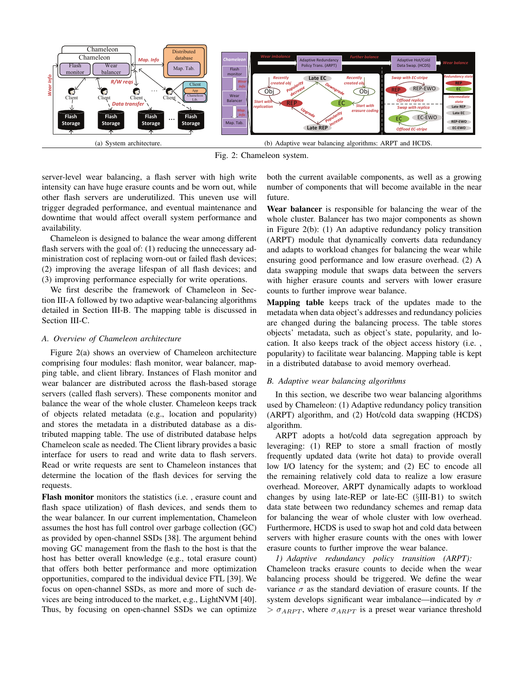

Fig. 2: Chameleon system.

server-level wear balancing, a flash server with high write intensity can have huge erasure counts and be worn out, while other flash servers are underutilized. This uneven use will trigger degraded performance, and eventual maintenance and downtime that would affect overall system performance and availability.

Chameleon is designed to balance the wear among different flash servers with the goal of: (1) reducing the unnecessary administration cost of replacing worn-out or failed flash devices; (2) improving the average lifespan of all flash devices; and (3) improving performance especially for write operations.

We first describe the framework of Chameleon in Section III-A followed by two adaptive wear-balancing algorithms detailed in Section III-B. The mapping table is discussed in Section III-C.

# *A. Overview of Chameleon architecture*

Figure 2(a) shows an overview of Chameleon architecture comprising four modules: flash monitor, wear balancer, mapping table, and client library. Instances of Flash monitor and wear balancer are distributed across the flash-based storage servers (called flash servers). These components monitor and balance the wear of the whole cluster. Chameleon keeps track of objects related metadata (e.g., location and popularity) and stores the metadata in a distributed database as a distributed mapping table. The use of distributed database helps Chameleon scale as needed. The Client library provides a basic interface for users to read and write data to flash servers. Read or write requests are sent to Chameleon instances that determine the location of the flash devices for serving the requests.

Flash monitor monitors the statistics (i.e. , erasure count and flash space utilization) of flash devices, and sends them to the wear balancer. In our current implementation, Chameleon assumes the host has full control over garbage collection (GC) as provided by open-channel SSDs [38]. The argument behind moving GC management from the flash to the host is that the host has better overall knowledge (e.g., total erasure count) that offers both better performance and more optimization opportunities, compared to the individual device FTL [39]. We focus on open-channel SSDs, as more and more of such devices are being introduced to the market, e.g., LightNVM [40]. Thus, by focusing on open-channel SSDs we can optimize both the current available components, as well as a growing number of components that will become available in the near future.

Wear balancer is responsible for balancing the wear of the whole cluster. Balancer has two major components as shown in Figure 2(b): (1) An adaptive redundancy policy transition (ARPT) module that dynamically converts data redundancy and adapts to workload changes for balancing the wear while ensuring good performance and low erasure overhead. (2) A data swapping module that swaps data between the servers with higher erasure counts and servers with lower erasure counts to further improve wear balance.

Mapping table keeps track of the updates made to the metadata when data object's addresses and redundancy policies are changed during the balancing process. The table stores objects' metadata, such as object's state, popularity, and location. It also keeps track of the object access history (i.e. , popularity) to facilitate wear balancing. Mapping table is kept in a distributed database to avoid memory overhead.

## *B. Adaptive wear balancing algorithms*

In this section, we describe two wear balancing algorithms used by Chameleon: (1) Adaptive redundancy policy transition (ARPT) algorithm, and (2) Hot/cold data swapping (HCDS) algorithm.

ARPT adopts a hot/cold data segregation approach by leveraging: (1) REP to store a small fraction of mostly frequently updated data (write hot data) to provide overall low I/O latency for the system; and (2) EC to encode all the remaining relatively cold data to realize a low erasure overhead. Moreover, ARPT dynamically adapts to workload changes by using late-REP or late-EC (§III-B1) to switch data state between two redundancy schemes and remap data for balancing the wear of whole cluster with low overhead. Furthermore, HCDS is used to swap hot and cold data between servers with higher erasure counts with the ones with lower erasure counts to further improve the wear balance.

*1) Adaptive redundancy policy transition (ARPT):* Chameleon tracks erasure counts to decide when the wear balancing process should be triggered. We define the wear variance  $\sigma$  as the standard deviation of erasure counts. If the system develops significant wear imbalance—indicated by  $\sigma$  $> \sigma_{ARPT}$ , where  $\sigma_{ARPT}$  is a preset wear variance threshold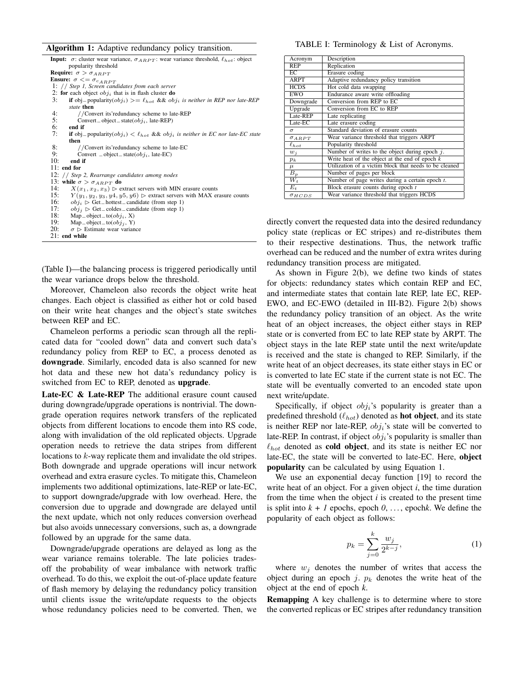# Algorithm 1: Adaptive redundancy policy transition.

| <b>Input:</b> $\sigma$ : cluster wear variance, $\sigma_{ARPT}$ : wear variance threshold, $\ell_{hot}$ : object |
|------------------------------------------------------------------------------------------------------------------|
| popularity threshold                                                                                             |
| <b>Require:</b> $\sigma > \sigma_{ARPT}$                                                                         |
| <b>Ensure:</b> $\sigma \leq \sigma_{c_{ABPT}}$                                                                   |
| 1: // Step 1, Screen candidates from each server                                                                 |
| 2: for each object $obj_i$ that is in flash cluster do                                                           |
| 3:<br><b>if</b> obj _ popularity $(obj_i) >= \ell_{hot}$ && $obj_i$ is neither in REP nor late-REP               |
| state then                                                                                                       |
| 4:<br>//Convert its'redundancy scheme to late-REP                                                                |
| 5:<br>Convert _ object _ state( $obj_i$ , late-REP)                                                              |
| 6:<br>end if                                                                                                     |
| 7:<br><b>if</b> obj – popularity( $obj_i$ ) $\lt$ $\ell_{hot}$ && $obj_i$ is neither in EC nor late-EC state     |
| then                                                                                                             |
| 8:<br>//Convert its'redundancy scheme to late-EC                                                                 |
| 9:<br>Convert _ object _ state( $obj_i$ , late-EC)                                                               |
| 10:<br>end if                                                                                                    |
| $11:$ end for                                                                                                    |
| 12: // Step 2, Rearrange candidates among nodes                                                                  |
| 13: while $\sigma > \sigma_{ABPT}$ do                                                                            |
| 14:<br>$X(x_1, x_2, x_3)$ $\triangleright$ extract servers with MIN erasure counts                               |
| 15: $Y(y_1, y_2, y_3, y_4, y_5, y_6)$ $\triangleright$ extract servers with MAX erasure counts                   |
| 16:<br>$obj_i \triangleright Get_{-}hottest_{-} candidate (from step 1)$                                         |
| 17:<br>$obj_i \triangleright Get\_codes\_candidate (from step 1)$                                                |
| 18:<br>$Map_o object_to(obj_i, X)$                                                                               |
| 19:<br>$Map_o object_to(obj_i, Y)$                                                                               |
| 20:<br>$\sigma >$ Estimate wear variance                                                                         |
| 21: end while                                                                                                    |

(Table I)—the balancing process is triggered periodically until the wear variance drops below the threshold.

Moreover, Chameleon also records the object write heat changes. Each object is classified as either hot or cold based on their write heat changes and the object's state switches between REP and EC.

Chameleon performs a periodic scan through all the replicated data for "cooled down" data and convert such data's redundancy policy from REP to EC, a process denoted as downgrade. Similarly, encoded data is also scanned for new hot data and these new hot data's redundancy policy is switched from EC to REP, denoted as **upgrade**.

Late-EC & Late-REP The additional erasure count caused during downgrade/upgrade operations is nontrivial. The downgrade operation requires network transfers of the replicated objects from different locations to encode them into RS code, along with invalidation of the old replicated objects. Upgrade operation needs to retrieve the data stripes from different locations to k-way replicate them and invalidate the old stripes. Both downgrade and upgrade operations will incur network overhead and extra erasure cycles. To mitigate this, Chameleon implements two additional optimizations, late-REP or late-EC, to support downgrade/upgrade with low overhead. Here, the conversion due to upgrade and downgrade are delayed until the next update, which not only reduces conversion overhead but also avoids unnecessary conversions, such as, a downgrade followed by an upgrade for the same data.

Downgrade/upgrade operations are delayed as long as the wear variance remains tolerable. The late policies tradesoff the probability of wear imbalance with network traffic overhead. To do this, we exploit the out-of-place update feature of flash memory by delaying the redundancy policy transition until clients issue the write/update requests to the objects whose redundancy policies need to be converted. Then, we

#### TABLE I: Terminology & List of Acronyms.

| Acronym          | Description                                            |
|------------------|--------------------------------------------------------|
| <b>REP</b>       | Replication                                            |
| EC.              | Erasure coding                                         |
| <b>ARPT</b>      | Adaptive redundancy policy transition                  |
| <b>HCDS</b>      | Hot cold data swapping                                 |
| <b>EWO</b>       | Endurance aware write offloading                       |
| Downgrade        | Conversion from REP to EC                              |
| Upgrade          | Conversion from EC to REP                              |
| Late-REP         | Late replicating                                       |
| Late-EC          | Late erasure coding                                    |
| $\sigma$         | Standard deviation of erasure counts                   |
| $\sigma_{ARPT}$  | Wear variance threshold that triggers ARPT             |
| $\ell_{hot}$     | Popularity threshold                                   |
| $w_i$            | Number of writes to the object during epoch $j$ .      |
| $p_k$            | Write heat of the object at the end of epoch $k$       |
| $\mu$            | Utilization of a victim block that needs to be cleaned |
| $B_p$            | Number of pages per block                              |
| $\overline{W_t}$ | Number of page writes during a certain epoch $t$ .     |
| $E_{t}$          | Block erasure counts during epoch t                    |
| $\sigma_{HCDS}$  | Wear variance threshold that triggers HCDS             |

directly convert the requested data into the desired redundancy policy state (replicas or EC stripes) and re-distributes them to their respective destinations. Thus, the network traffic overhead can be reduced and the number of extra writes during redundancy transition process are mitigated.

As shown in Figure 2(b), we define two kinds of states for objects: redundancy states which contain REP and EC, and intermediate states that contain late REP, late EC, REP-EWO, and EC-EWO (detailed in III-B2). Figure 2(b) shows the redundancy policy transition of an object. As the write heat of an object increases, the object either stays in REP state or is converted from EC to late REP state by ARPT. The object stays in the late REP state until the next write/update is received and the state is changed to REP. Similarly, if the write heat of an object decreases, its state either stays in EC or is converted to late EC state if the current state is not EC. The state will be eventually converted to an encoded state upon next write/update.

Specifically, if object  $obj_i$ 's popularity is greater than a predefined threshold  $(\ell_{hot})$  denoted as **hot object**, and its state is neither REP nor late-REP,  $obj_i$ 's state will be converted to late-REP. In contrast, if object  $obj_i$ 's popularity is smaller than  $\ell_{hot}$  denoted as cold object, and its state is neither EC nor late-EC, the state will be converted to late-EC. Here, object popularity can be calculated by using Equation 1.

We use an exponential decay function [19] to record the write heat of an object. For a given object *i*, the time duration from the time when the object *i* is created to the present time is split into  $k + 1$  epochs, epoch  $0, \ldots$ , epoch $k$ . We define the popularity of each object as follows:

$$
p_k = \sum_{j=0}^k \frac{w_j}{2^{k-j}},\tag{1}
$$

where  $w_j$  denotes the number of writes that access the object during an epoch j.  $p_k$  denotes the write heat of the object at the end of epoch *k*.

**Remapping** A key challenge is to determine where to store the converted replicas or EC stripes after redundancy transition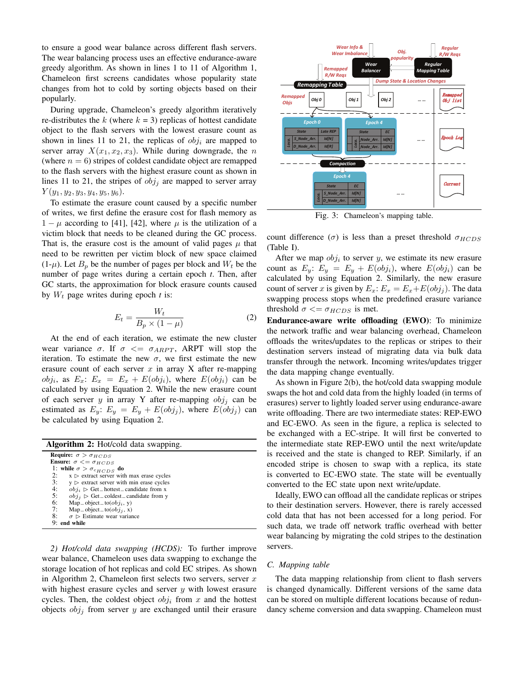to ensure a good wear balance across different flash servers. The wear balancing process uses an effective endurance-aware greedy algorithm. As shown in lines 1 to 11 of Algorithm 1, Chameleon first screens candidates whose popularity state changes from hot to cold by sorting objects based on their popularly.

During upgrade, Chameleon's greedy algorithm iteratively re-distributes the  $k$  (where  $k = 3$ ) replicas of hottest candidate object to the flash servers with the lowest erasure count as shown in lines 11 to 21, the replicas of  $obj_i$  are mapped to server array  $X(x_1, x_2, x_3)$ . While during downgrade, the n (where  $n = 6$ ) stripes of coldest candidate object are remapped to the flash servers with the highest erasure count as shown in lines 11 to 21, the stripes of  $obj_j$  are mapped to server array  $Y(y_1, y_2, y_3, y_4, y_5, y_6).$ 

To estimate the erasure count caused by a specific number of writes, we first define the erasure cost for flash memory as  $1 - \mu$  according to [41], [42], where  $\mu$  is the utilization of a victim block that needs to be cleaned during the GC process. That is, the erasure cost is the amount of valid pages  $\mu$  that need to be rewritten per victim block of new space claimed  $(1-\mu)$ . Let  $B_p$  be the number of pages per block and  $W_t$  be the number of page writes during a certain epoch *t*. Then, after GC starts, the approximation for block erasure counts caused by  $W_t$  page writes during epoch  $t$  is:

$$
E_t = \frac{W_t}{B_p \times (1 - \mu)}\tag{2}
$$

At the end of each iteration, we estimate the new cluster wear variance  $\sigma$ . If  $\sigma \leq \sigma_{ARPT}$ , ARPT will stop the iteration. To estimate the new  $\sigma$ , we first estimate the new erasure count of each server  $x$  in array  $X$  after re-mapping  $obj_i$ , as  $E_x$ :  $E_x = E_x + E(obj_i)$ , where  $E(obj_i)$  can be calculated by using Equation 2. While the new erasure count of each server y in array Y after re-mapping  $obj_i$  can be estimated as  $E_y$ :  $E_y = E_y + E(obj_j)$ , where  $E(obj_j)$  can be calculated by using Equation 2.

| <b>Algorithm 2:</b> Hot/cold data swapping.                         |  |  |  |
|---------------------------------------------------------------------|--|--|--|
| <b>Require:</b> $\sigma > \sigma_{HCDS}$                            |  |  |  |
| <b>Ensure:</b> $\sigma \leq \sigma_{HCDS}$                          |  |  |  |
| 1: while $\sigma > \sigma_{c_{HCDS}}$ do                            |  |  |  |
| 2:<br>$x \geq$ extract server with max erase cycles                 |  |  |  |
| 3:<br>$y \geq$ extract server with min erase cycles                 |  |  |  |
| 4:<br>$obj_i \triangleright \text{Get\_hottest\_candidate from x}$  |  |  |  |
| 5:<br>$obj_i \triangleright \text{Get\_coldest\_candidate from } v$ |  |  |  |
| 6:<br>$Map\_object\_to(obj_i, y)$                                   |  |  |  |
| 7:<br>$Map\_object\_to(obj_i, x)$                                   |  |  |  |
| 8:<br>$\sigma >$ Estimate wear variance                             |  |  |  |
| end while                                                           |  |  |  |

*2) Hot/cold data swapping (HCDS):* To further improve wear balance, Chameleon uses data swapping to exchange the storage location of hot replicas and cold EC stripes. As shown in Algorithm 2, Chameleon first selects two servers, server  $x$ with highest erasure cycles and server  $y$  with lowest erasure cycles. Then, the coldest object  $obj_i$  from x and the hottest objects  $obj_j$  from server y are exchanged until their erasure



Fig. 3: Chameleon's mapping table.

count difference ( $\sigma$ ) is less than a preset threshold  $\sigma_{HCDS}$ (Table I).

After we map  $obj_i$  to server y, we estimate its new erasure count as  $E_y$ :  $E_y = E_y + E(obj_i)$ , where  $E(obj_i)$  can be calculated by using Equation 2. Similarly, the new erasure count of server x is given by  $E_x$ :  $E_x = E_x + E(obj_i)$ . The data swapping process stops when the predefined erasure variance threshold  $\sigma \leq \sigma_{HCDS}$  is met.

Endurance-aware write offloading (EWO): To minimize the network traffic and wear balancing overhead, Chameleon offloads the writes/updates to the replicas or stripes to their destination servers instead of migrating data via bulk data transfer through the network. Incoming writes/updates trigger the data mapping change eventually.

As shown in Figure 2(b), the hot/cold data swapping module swaps the hot and cold data from the highly loaded (in terms of erasures) server to lightly loaded server using endurance-aware write offloading. There are two intermediate states: REP-EWO and EC-EWO. As seen in the figure, a replica is selected to be exchanged with a EC-stripe. It will first be converted to the intermediate state REP-EWO until the next write/update is received and the state is changed to REP. Similarly, if an encoded stripe is chosen to swap with a replica, its state is converted to EC-EWO state. The state will be eventually converted to the EC state upon next write/update.

Ideally, EWO can offload all the candidate replicas or stripes to their destination servers. However, there is rarely accessed cold data that has not been accessed for a long period. For such data, we trade off network traffic overhead with better wear balancing by migrating the cold stripes to the destination servers.

## *C. Mapping table*

The data mapping relationship from client to flash servers is changed dynamically. Different versions of the same data can be stored on multiple different locations because of redundancy scheme conversion and data swapping. Chameleon must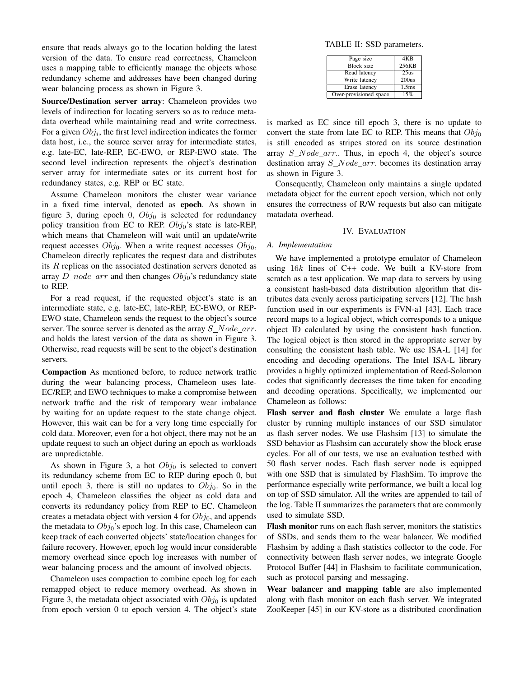ensure that reads always go to the location holding the latest version of the data. To ensure read correctness, Chameleon uses a mapping table to efficiently manage the objects whose redundancy scheme and addresses have been changed during wear balancing process as shown in Figure 3.

Source/Destination server array: Chameleon provides two levels of indirection for locating servers so as to reduce metadata overhead while maintaining read and write correctness. For a given  $Obj_i$ , the first level indirection indicates the former data host, i.e., the source server array for intermediate states, e.g. late-EC, late-REP, EC-EWO, or REP-EWO state. The second level indirection represents the object's destination server array for intermediate sates or its current host for redundancy states, e.g. REP or EC state.

Assume Chameleon monitors the cluster wear variance in a fixed time interval, denoted as epoch. As shown in figure 3, during epoch 0,  $Obj_0$  is selected for redundancy policy transition from EC to REP.  $Obj_0$ 's state is late-REP, which means that Chameleon will wait until an update/write request accesses  $Obj_0$ . When a write request accesses  $Obj_0$ , Chameleon directly replicates the request data and distributes its R replicas on the associated destination servers denoted as array  $D\_node\_arr$  and then changes  $Obj_0$ 's redundancy state to REP.

For a read request, if the requested object's state is an intermediate state, e.g. late-EC, late-REP, EC-EWO, or REP-EWO state, Chameleon sends the request to the object's source server. The source server is denoted as the array  $S$ <sub>Node\_arr</sub>. and holds the latest version of the data as shown in Figure 3. Otherwise, read requests will be sent to the object's destination servers.

Compaction As mentioned before, to reduce network traffic during the wear balancing process, Chameleon uses late-EC/REP, and EWO techniques to make a compromise between network traffic and the risk of temporary wear imbalance by waiting for an update request to the state change object. However, this wait can be for a very long time especially for cold data. Moreover, even for a hot object, there may not be an update request to such an object during an epoch as workloads are unpredictable.

As shown in Figure 3, a hot  $Obj_0$  is selected to convert its redundancy scheme from EC to REP during epoch 0, but until epoch 3, there is still no updates to  $Obj_0$ . So in the epoch 4, Chameleon classifies the object as cold data and converts its redundancy policy from REP to EC. Chameleon creates a metadata object with version 4 for  $Obj_0$ , and appends the metadata to  $Obj_0$ 's epoch log. In this case, Chameleon can keep track of each converted objects' state/location changes for failure recovery. However, epoch log would incur considerable memory overhead since epoch log increases with number of wear balancing process and the amount of involved objects.

Chameleon uses compaction to combine epoch log for each remapped object to reduce memory overhead. As shown in Figure 3, the metadata object associated with  $Obj_0$  is updated from epoch version 0 to epoch version 4. The object's state

TABLE II: SSD parameters.

| Page size              | 4KB               |
|------------------------|-------------------|
| <b>Block</b> size      | 256KB             |
| Read latency           | 25 <sub>us</sub>  |
| Write latency          | 200us             |
| Erase latency          | 1.5 <sub>ms</sub> |
| Over-provisioned space | 15%               |

is marked as EC since till epoch 3, there is no update to convert the state from late EC to REP. This means that  $Obj_0$ is still encoded as stripes stored on its source destination array S Node arr.. Thus, in epoch 4, the object's source destination array  $S_Node\_arr$ . becomes its destination array as shown in Figure 3.

Consequently, Chameleon only maintains a single updated metadata object for the current epoch version, which not only ensures the correctness of R/W requests but also can mitigate matadata overhead.

#### IV. EVALUATION

## *A. Implementation*

We have implemented a prototype emulator of Chameleon using 16k lines of C++ code. We built a KV-store from scratch as a test application. We map data to servers by using a consistent hash-based data distribution algorithm that distributes data evenly across participating servers [12]. The hash function used in our experiments is FVN-a1 [43]. Each trace record maps to a logical object, which corresponds to a unique object ID calculated by using the consistent hash function. The logical object is then stored in the appropriate server by consulting the consistent hash table. We use ISA-L [14] for encoding and decoding operations. The Intel ISA-L library provides a highly optimized implementation of Reed-Solomon codes that significantly decreases the time taken for encoding and decoding operations. Specifically, we implemented our Chameleon as follows:

Flash server and flash cluster We emulate a large flash cluster by running multiple instances of our SSD simulator as flash server nodes. We use Flashsim [13] to simulate the SSD behavior as Flashsim can accurately show the block erase cycles. For all of our tests, we use an evaluation testbed with 50 flash server nodes. Each flash server node is equipped with one SSD that is simulated by FlashSim. To improve the performance especially write performance, we built a local log on top of SSD simulator. All the writes are appended to tail of the log. Table II summarizes the parameters that are commonly used to simulate SSD.

Flash monitor runs on each flash server, monitors the statistics of SSDs, and sends them to the wear balancer. We modified Flashsim by adding a flash statistics collector to the code. For connectivity between flash server nodes, we integrate Google Protocol Buffer [44] in Flashsim to facilitate communication, such as protocol parsing and messaging.

Wear balancer and mapping table are also implemented along with flash monitor on each flash server. We integrated ZooKeeper [45] in our KV-store as a distributed coordination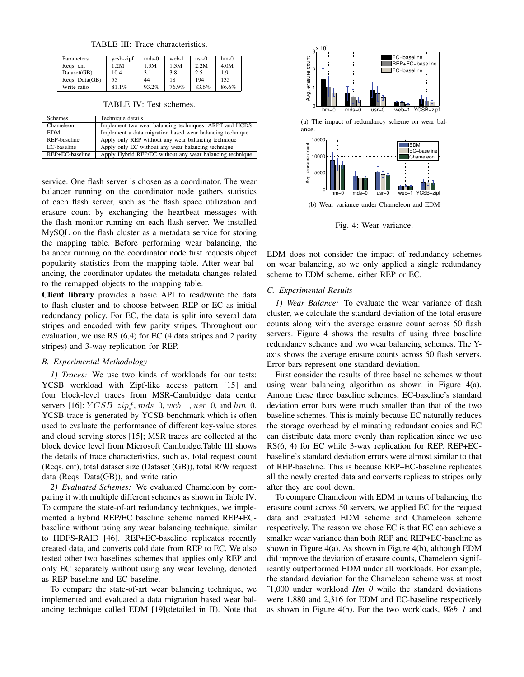TABLE III: Trace characteristics.

| Parameters       | ycsb-zipf | $mds-0$ | web-1    | $usr-0$ | $hm-0$ |
|------------------|-----------|---------|----------|---------|--------|
| Regs. cnt        | 1.2M      | 1.3M    | 1.3M     | 2.2M    | 4.0M   |
| Dataset(GB)      | 10.4      |         | 3.8      | 2.5     | 1.9    |
| Regs. $Data(GB)$ | 55        | 44      | 18       | 194     | 135    |
| Write ratio      | 81.1%     | 93.2%   | $76.9\%$ | 83.6%   | 86.6%  |

TABLE IV: Test schemes.

| <b>Schemes</b>  | Technique details                                         |
|-----------------|-----------------------------------------------------------|
| Chameleon       | Implement two wear balancing techniques: ARPT and HCDS    |
| <b>EDM</b>      | Implement a data migration based wear balancing technique |
| REP-baseline    | Apply only REP without any wear balancing technique       |
| EC-baseline     | Apply only EC without any wear balancing technique        |
| REP+EC-baseline | Apply Hybrid REP/EC without any wear balancing technique  |

service. One flash server is chosen as a coordinator. The wear balancer running on the coordinator node gathers statistics of each flash server, such as the flash space utilization and erasure count by exchanging the heartbeat messages with the flash monitor running on each flash server. We installed MySQL on the flash cluster as a metadata service for storing the mapping table. Before performing wear balancing, the balancer running on the coordinator node first requests object popularity statistics from the mapping table. After wear balancing, the coordinator updates the metadata changes related to the remapped objects to the mapping table.

Client library provides a basic API to read/write the data to flash cluster and to choose between REP or EC as initial redundancy policy. For EC, the data is split into several data stripes and encoded with few parity stripes. Throughout our evaluation, we use RS (6,4) for EC (4 data stripes and 2 parity stripes) and 3-way replication for REP.

#### *B. Experimental Methodology*

*1) Traces:* We use two kinds of workloads for our tests: YCSB workload with Zipf-like access pattern [15] and four block-level traces from MSR-Cambridge data center servers [16]:  $YCSB\_zipf, mds\_0, web\_1,usr\_0, and hm\_0.$ YCSB trace is generated by YCSB benchmark which is often used to evaluate the performance of different key-value stores and cloud serving stores [15]; MSR traces are collected at the block device level from Microsoft Cambridge.Table III shows the details of trace characteristics, such as, total request count (Reqs. cnt), total dataset size (Dataset (GB)), total R/W request data (Reqs. Data(GB)), and write ratio.

*2) Evaluated Schemes:* We evaluated Chameleon by comparing it with multiple different schemes as shown in Table IV. To compare the state-of-art redundancy techniques, we implemented a hybrid REP/EC baseline scheme named REP+ECbaseline without using any wear balancing technique, similar to HDFS-RAID [46]. REP+EC-baseline replicates recently created data, and converts cold date from REP to EC. We also tested other two baselines schemes that applies only REP and only EC separately without using any wear leveling, denoted as REP-baseline and EC-baseline.

To compare the state-of-art wear balancing technique, we implemented and evaluated a data migration based wear balancing technique called EDM [19](detailed in II). Note that



Fig. 4: Wear variance.

EDM does not consider the impact of redundancy schemes on wear balancing, so we only applied a single redundancy scheme to EDM scheme, either REP or EC.

## *C. Experimental Results*

*1) Wear Balance:* To evaluate the wear variance of flash cluster, we calculate the standard deviation of the total erasure counts along with the average erasure count across 50 flash servers. Figure 4 shows the results of using three baseline redundancy schemes and two wear balancing schemes. The Yaxis shows the average erasure counts across 50 flash servers. Error bars represent one standard deviation.

First consider the results of three baseline schemes without using wear balancing algorithm as shown in Figure 4(a). Among these three baseline schemes, EC-baseline's standard deviation error bars were much smaller than that of the two baseline schemes. This is mainly because EC naturally reduces the storage overhead by eliminating redundant copies and EC can distribute data more evenly than replication since we use RS(6, 4) for EC while 3-way replication for REP. REP+ECbaseline's standard deviation errors were almost similar to that of REP-baseline. This is because REP+EC-baseline replicates all the newly created data and converts replicas to stripes only after they are cool down.

To compare Chameleon with EDM in terms of balancing the erasure count across 50 servers, we applied EC for the request data and evaluated EDM scheme and Chameleon scheme respectively. The reason we chose EC is that EC can achieve a smaller wear variance than both REP and REP+EC-baseline as shown in Figure 4(a). As shown in Figure 4(b), although EDM did improve the deviation of erasure counts, Chameleon significantly outperformed EDM under all workloads. For example, the standard deviation for the Chameleon scheme was at most ˜1,000 under workload *Hm 0* while the standard deviations were 1,880 and 2,316 for EDM and EC-baseline respectively as shown in Figure 4(b). For the two workloads, *Web 1* and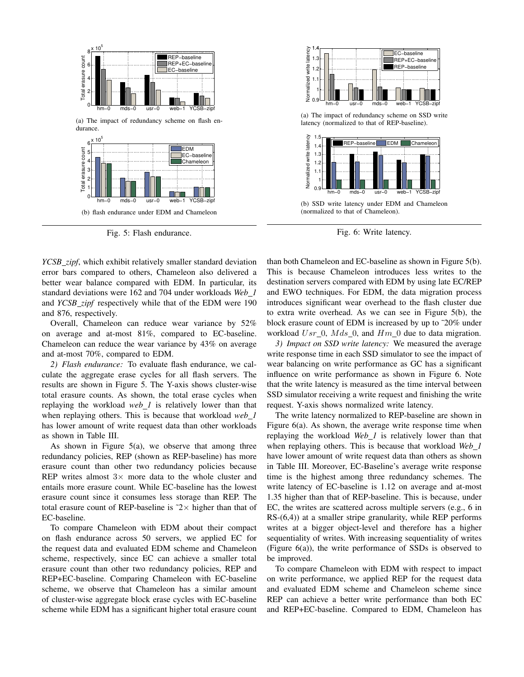

Fig. 5: Flash endurance.

*YCSB zipf*, which exhibit relatively smaller standard deviation error bars compared to others, Chameleon also delivered a better wear balance compared with EDM. In particular, its standard deviations were 162 and 704 under workloads *Web 1* and *YCSB zipf* respectively while that of the EDM were 190 and 876, respectively.

Overall, Chameleon can reduce wear variance by 52% on average and at-most 81%, compared to EC-baseline. Chameleon can reduce the wear variance by 43% on average and at-most 70%, compared to EDM.

*2) Flash endurance:* To evaluate flash endurance, we calculate the aggregate erase cycles for all flash servers. The results are shown in Figure 5. The Y-axis shows cluster-wise total erasure counts. As shown, the total erase cycles when replaying the workload *web 1* is relatively lower than that when replaying others. This is because that workload *web* 1 has lower amount of write request data than other workloads as shown in Table III.

As shown in Figure  $5(a)$ , we observe that among three redundancy policies, REP (shown as REP-baseline) has more erasure count than other two redundancy policies because REP writes almost  $3 \times$  more data to the whole cluster and entails more erasure count. While EC-baseline has the lowest erasure count since it consumes less storage than REP. The total erasure count of REP-baseline is  $2 \times$  higher than that of EC-baseline.

To compare Chameleon with EDM about their compact on flash endurance across 50 servers, we applied EC for the request data and evaluated EDM scheme and Chameleon scheme, respectively, since EC can achieve a smaller total erasure count than other two redundancy policies, REP and REP+EC-baseline. Comparing Chameleon with EC-baseline scheme, we observe that Chameleon has a similar amount of cluster-wise aggregate block erase cycles with EC-baseline scheme while EDM has a significant higher total erasure count



(a) The impact of redundancy scheme on SSD write latency (normalized to that of REP-baseline).



(b) SSD write latency under EDM and Chameleon (normalized to that of Chameleon).

Fig. 6: Write latency.

than both Chameleon and EC-baseline as shown in Figure 5(b). This is because Chameleon introduces less writes to the destination servers compared with EDM by using late EC/REP and EWO techniques. For EDM, the data migration process introduces significant wear overhead to the flash cluster due to extra write overhead. As we can see in Figure 5(b), the block erasure count of EDM is increased by up to ˜20% under workload  $Usr\_0$ ,  $Mds\_0$ , and  $Hm\_0$  due to data migration.

*3) Impact on SSD write latency:* We measured the average write response time in each SSD simulator to see the impact of wear balancing on write performance as GC has a significant influence on write performance as shown in Figure 6. Note that the write latency is measured as the time interval between SSD simulator receiving a write request and finishing the write request. Y-axis shows normalized write latency.

The write latency normalized to REP-baseline are shown in Figure 6(a). As shown, the average write response time when replaying the workload *Web*<sub>1</sub> is relatively lower than that when replaying others. This is because that workload *Web*<sub>1</sub> have lower amount of write request data than others as shown in Table III. Moreover, EC-Baseline's average write response time is the highest among three redundancy schemes. The write latency of EC-baseline is 1.12 on average and at-most 1.35 higher than that of REP-baseline. This is because, under EC, the writes are scattered across multiple servers (e.g., 6 in RS-(6,4)) at a smaller stripe granularity, while REP performs writes at a bigger object-level and therefore has a higher sequentiality of writes. With increasing sequentiality of writes (Figure 6(a)), the write performance of SSDs is observed to be improved.

To compare Chameleon with EDM with respect to impact on write performance, we applied REP for the request data and evaluated EDM scheme and Chameleon scheme since REP can achieve a better write performance than both EC and REP+EC-baseline. Compared to EDM, Chameleon has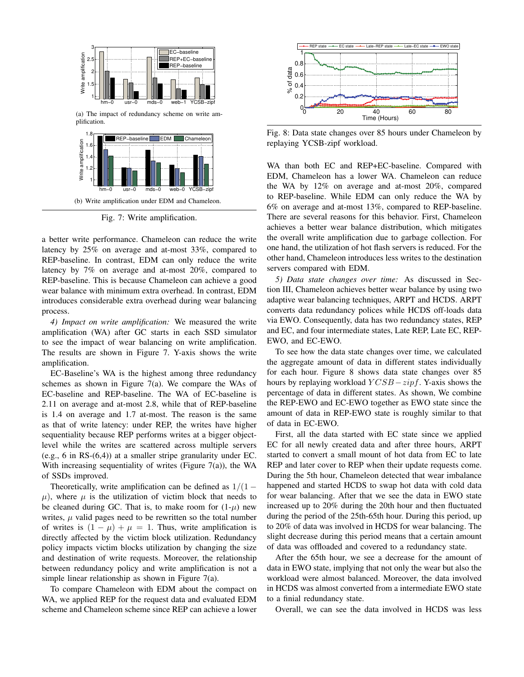

Fig. 7: Write amplification.

a better write performance. Chameleon can reduce the write latency by 25% on average and at-most 33%, compared to REP-baseline. In contrast, EDM can only reduce the write latency by 7% on average and at-most 20%, compared to REP-baseline. This is because Chameleon can achieve a good wear balance with minimum extra overhead. In contrast, EDM introduces considerable extra overhead during wear balancing process.

*4) Impact on write amplification:* We measured the write amplification (WA) after GC starts in each SSD simulator to see the impact of wear balancing on write amplification. The results are shown in Figure 7. Y-axis shows the write amplification.

EC-Baseline's WA is the highest among three redundancy schemes as shown in Figure 7(a). We compare the WAs of EC-baseline and REP-baseline. The WA of EC-baseline is 2.11 on average and at-most 2.8, while that of REP-baseline is 1.4 on average and 1.7 at-most. The reason is the same as that of write latency: under REP, the writes have higher sequentiality because REP performs writes at a bigger objectlevel while the writes are scattered across multiple servers (e.g., 6 in RS-(6,4)) at a smaller stripe granularity under EC. With increasing sequentiality of writes (Figure  $7(a)$ ), the WA of SSDs improved.

Theoretically, write amplification can be defined as  $1/(1 \mu$ ), where  $\mu$  is the utilization of victim block that needs to be cleaned during GC. That is, to make room for  $(1-\mu)$  new writes,  $\mu$  valid pages need to be rewritten so the total number of writes is  $(1 - \mu) + \mu = 1$ . Thus, write amplification is directly affected by the victim block utilization. Redundancy policy impacts victim blocks utilization by changing the size and destination of write requests. Moreover, the relationship between redundancy policy and write amplification is not a simple linear relationship as shown in Figure 7(a).

To compare Chameleon with EDM about the compact on WA, we applied REP for the request data and evaluated EDM scheme and Chameleon scheme since REP can achieve a lower



Fig. 8: Data state changes over 85 hours under Chameleon by replaying YCSB-zipf workload.

WA than both EC and REP+EC-baseline. Compared with EDM, Chameleon has a lower WA. Chameleon can reduce the WA by 12% on average and at-most 20%, compared to REP-baseline. While EDM can only reduce the WA by 6% on average and at-most 13%, compared to REP-baseline. There are several reasons for this behavior. First, Chameleon achieves a better wear balance distribution, which mitigates the overall write amplification due to garbage collection. For one hand, the utilization of hot flash servers is reduced. For the other hand, Chameleon introduces less writes to the destination servers compared with EDM.

*5) Data state changes over time:* As discussed in Section III, Chameleon achieves better wear balance by using two adaptive wear balancing techniques, ARPT and HCDS. ARPT converts data redundancy polices while HCDS off-loads data via EWO. Consequently, data has two redundancy states, REP and EC, and four intermediate states, Late REP, Late EC, REP-EWO, and EC-EWO.

To see how the data state changes over time, we calculated the aggregate amount of data in different states individually for each hour. Figure 8 shows data state changes over 85 hours by replaying workload  $YCSB-zipf$ . Y-axis shows the percentage of data in different states. As shown, We combine the REP-EWO and EC-EWO together as EWO state since the amount of data in REP-EWO state is roughly similar to that of data in EC-EWO.

First, all the data started with EC state since we applied EC for all newly created data and after three hours, ARPT started to convert a small mount of hot data from EC to late REP and later cover to REP when their update requests come. During the 5th hour, Chameleon detected that wear imbalance happened and started HCDS to swap hot data with cold data for wear balancing. After that we see the data in EWO state increased up to 20% during the 20th hour and then fluctuated during the period of the 25th-65th hour. During this period, up to 20% of data was involved in HCDS for wear balancing. The slight decrease during this period means that a certain amount of data was offloaded and covered to a redundancy state.

After the 65th hour, we see a decrease for the amount of data in EWO state, implying that not only the wear but also the workload were almost balanced. Moreover, the data involved in HCDS was almost converted from a intermediate EWO state to a finial redundancy state.

Overall, we can see the data involved in HCDS was less